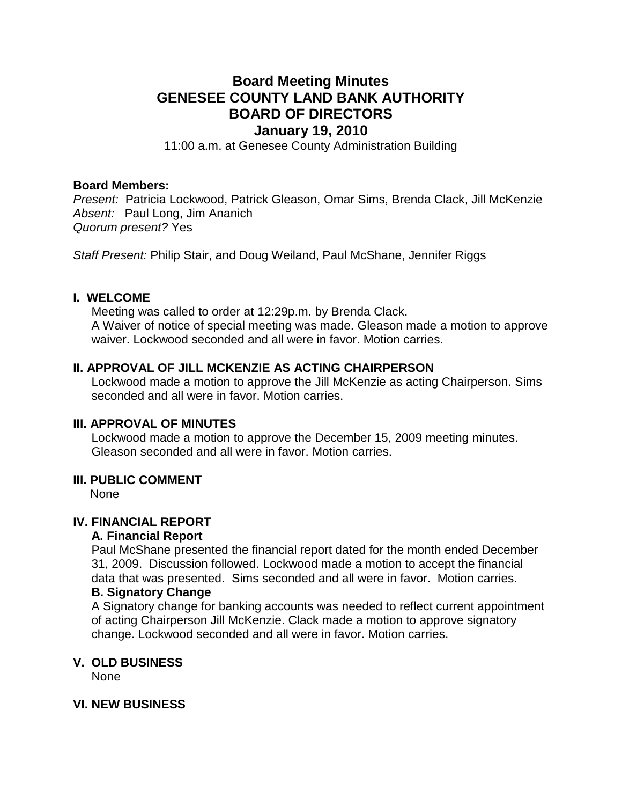# **Board Meeting Minutes GENESEE COUNTY LAND BANK AUTHORITY BOARD OF DIRECTORS**

# **January 19, 2010**

11:00 a.m. at Genesee County Administration Building

#### **Board Members:**

*Present:* Patricia Lockwood, Patrick Gleason, Omar Sims, Brenda Clack, Jill McKenzie *Absent:* Paul Long, Jim Ananich *Quorum present?* Yes

*Staff Present:* Philip Stair, and Doug Weiland, Paul McShane, Jennifer Riggs

#### **I. WELCOME**

Meeting was called to order at 12:29p.m. by Brenda Clack. A Waiver of notice of special meeting was made. Gleason made a motion to approve waiver. Lockwood seconded and all were in favor. Motion carries.

# **II. APPROVAL OF JILL MCKENZIE AS ACTING CHAIRPERSON**

Lockwood made a motion to approve the Jill McKenzie as acting Chairperson. Sims seconded and all were in favor. Motion carries.

### **III. APPROVAL OF MINUTES**

Lockwood made a motion to approve the December 15, 2009 meeting minutes. Gleason seconded and all were in favor. Motion carries.

#### **III. PUBLIC COMMENT**

None

# **IV. FINANCIAL REPORT**

#### **A. Financial Report**

Paul McShane presented the financial report dated for the month ended December 31, 2009. Discussion followed. Lockwood made a motion to accept the financial data that was presented. Sims seconded and all were in favor. Motion carries.

#### **B. Signatory Change**

A Signatory change for banking accounts was needed to reflect current appointment of acting Chairperson Jill McKenzie. Clack made a motion to approve signatory change. Lockwood seconded and all were in favor. Motion carries.

#### **V. OLD BUSINESS**

None

## **VI. NEW BUSINESS**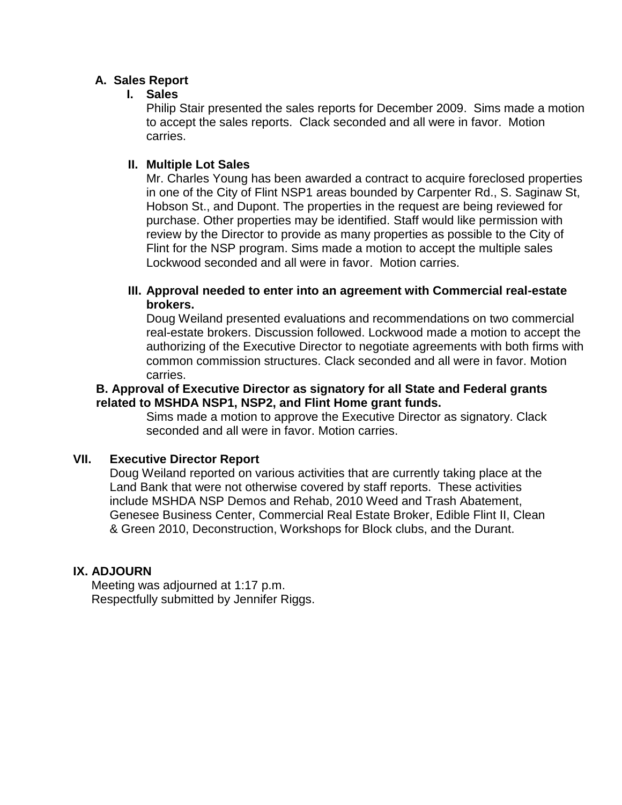# **A. Sales Report**

# **I. Sales**

Philip Stair presented the sales reports for December 2009. Sims made a motion to accept the sales reports. Clack seconded and all were in favor. Motion carries.

# **II. Multiple Lot Sales**

Mr. Charles Young has been awarded a contract to acquire foreclosed properties in one of the City of Flint NSP1 areas bounded by Carpenter Rd., S. Saginaw St, Hobson St., and Dupont. The properties in the request are being reviewed for purchase. Other properties may be identified. Staff would like permission with review by the Director to provide as many properties as possible to the City of Flint for the NSP program. Sims made a motion to accept the multiple sales Lockwood seconded and all were in favor. Motion carries.

# **III. Approval needed to enter into an agreement with Commercial real-estate brokers.**

Doug Weiland presented evaluations and recommendations on two commercial real-estate brokers. Discussion followed. Lockwood made a motion to accept the authorizing of the Executive Director to negotiate agreements with both firms with common commission structures. Clack seconded and all were in favor. Motion carries.

# **B. Approval of Executive Director as signatory for all State and Federal grants related to MSHDA NSP1, NSP2, and Flint Home grant funds.**

Sims made a motion to approve the Executive Director as signatory. Clack seconded and all were in favor. Motion carries.

# **VII. Executive Director Report**

Doug Weiland reported on various activities that are currently taking place at the Land Bank that were not otherwise covered by staff reports. These activities include MSHDA NSP Demos and Rehab, 2010 Weed and Trash Abatement, Genesee Business Center, Commercial Real Estate Broker, Edible Flint II, Clean & Green 2010, Deconstruction, Workshops for Block clubs, and the Durant.

# **IX. ADJOURN**

Meeting was adjourned at 1:17 p.m. Respectfully submitted by Jennifer Riggs.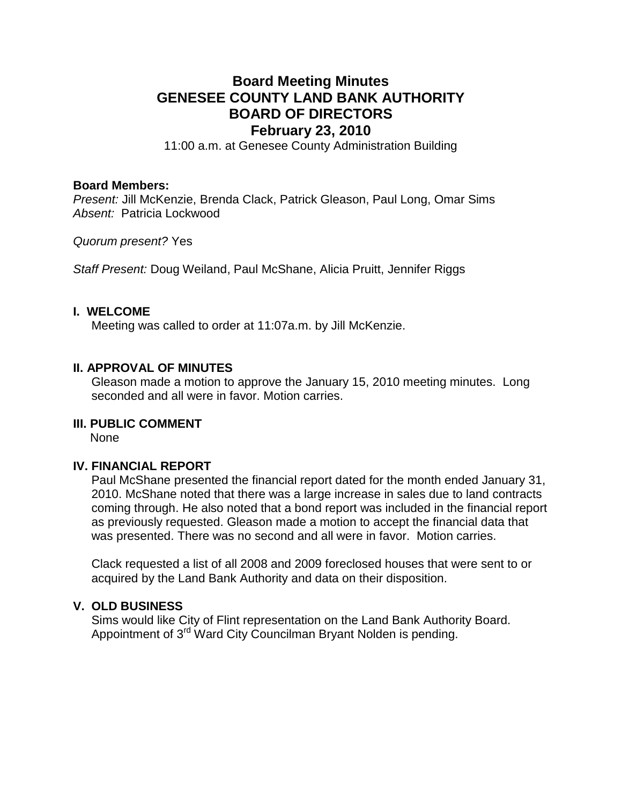# **Board Meeting Minutes GENESEE COUNTY LAND BANK AUTHORITY BOARD OF DIRECTORS February 23, 2010**

11:00 a.m. at Genesee County Administration Building

#### **Board Members:**

*Present:* Jill McKenzie, Brenda Clack, Patrick Gleason, Paul Long, Omar Sims *Absent:* Patricia Lockwood

*Quorum present?* Yes

*Staff Present:* Doug Weiland, Paul McShane, Alicia Pruitt, Jennifer Riggs

#### **I. WELCOME**

Meeting was called to order at 11:07a.m. by Jill McKenzie.

# **II. APPROVAL OF MINUTES**

Gleason made a motion to approve the January 15, 2010 meeting minutes. Long seconded and all were in favor. Motion carries.

# **III. PUBLIC COMMENT**

None

#### **IV. FINANCIAL REPORT**

Paul McShane presented the financial report dated for the month ended January 31, 2010. McShane noted that there was a large increase in sales due to land contracts coming through. He also noted that a bond report was included in the financial report as previously requested. Gleason made a motion to accept the financial data that was presented. There was no second and all were in favor. Motion carries.

Clack requested a list of all 2008 and 2009 foreclosed houses that were sent to or acquired by the Land Bank Authority and data on their disposition.

## **V. OLD BUSINESS**

Sims would like City of Flint representation on the Land Bank Authority Board. Appointment of 3<sup>rd</sup> Ward City Councilman Bryant Nolden is pending.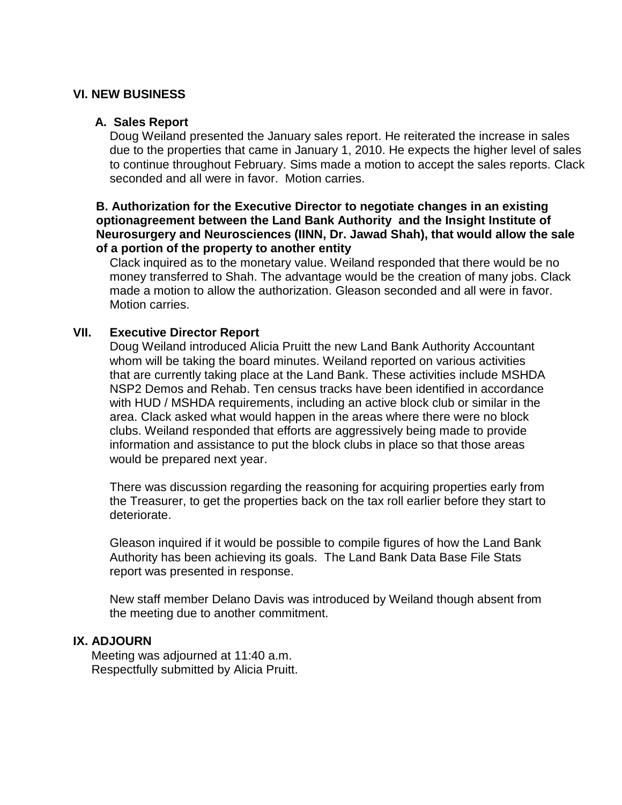# **VI. NEW BUSINESS**

# **A. Sales Report**

Doug Weiland presented the January sales report. He reiterated the increase in sales due to the properties that came in January 1, 2010. He expects the higher level of sales to continue throughout February. Sims made a motion to accept the sales reports. Clack seconded and all were in favor. Motion carries.

## **B. Authorization for the Executive Director to negotiate changes in an existing optionagreement between the Land Bank Authority and the Insight Institute of Neurosurgery and Neurosciences (IINN, Dr. Jawad Shah), that would allow the sale of a portion of the property to another entity**

Clack inquired as to the monetary value. Weiland responded that there would be no money transferred to Shah. The advantage would be the creation of many jobs. Clack made a motion to allow the authorization. Gleason seconded and all were in favor. Motion carries.

# **VII. Executive Director Report**

Doug Weiland introduced Alicia Pruitt the new Land Bank Authority Accountant whom will be taking the board minutes. Weiland reported on various activities that are currently taking place at the Land Bank. These activities include MSHDA NSP2 Demos and Rehab. Ten census tracks have been identified in accordance with HUD / MSHDA requirements, including an active block club or similar in the area. Clack asked what would happen in the areas where there were no block clubs. Weiland responded that efforts are aggressively being made to provide information and assistance to put the block clubs in place so that those areas would be prepared next year.

There was discussion regarding the reasoning for acquiring properties early from the Treasurer, to get the properties back on the tax roll earlier before they start to deteriorate.

Gleason inquired if it would be possible to compile figures of how the Land Bank Authority has been achieving its goals. The Land Bank Data Base File Stats report was presented in response.

New staff member Delano Davis was introduced by Weiland though absent from the meeting due to another commitment.

#### **IX. ADJOURN**

Meeting was adjourned at 11:40 a.m. Respectfully submitted by Alicia Pruitt.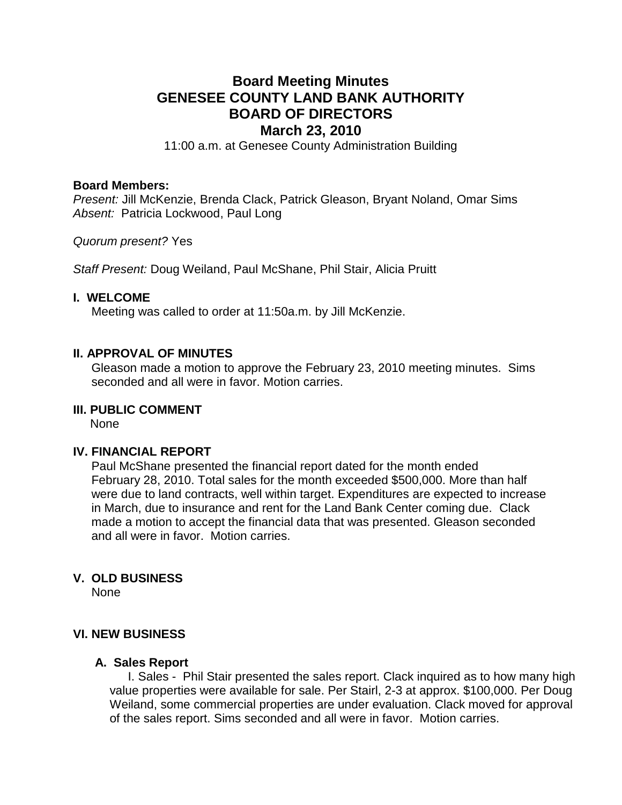# **Board Meeting Minutes GENESEE COUNTY LAND BANK AUTHORITY BOARD OF DIRECTORS March 23, 2010**

11:00 a.m. at Genesee County Administration Building

#### **Board Members:**

*Present:* Jill McKenzie, Brenda Clack, Patrick Gleason, Bryant Noland, Omar Sims *Absent:* Patricia Lockwood, Paul Long

*Quorum present?* Yes

*Staff Present:* Doug Weiland, Paul McShane, Phil Stair, Alicia Pruitt

#### **I. WELCOME**

Meeting was called to order at 11:50a.m. by Jill McKenzie.

## **II. APPROVAL OF MINUTES**

Gleason made a motion to approve the February 23, 2010 meeting minutes. Sims seconded and all were in favor. Motion carries.

# **III. PUBLIC COMMENT**

None

## **IV. FINANCIAL REPORT**

Paul McShane presented the financial report dated for the month ended February 28, 2010. Total sales for the month exceeded \$500,000. More than half were due to land contracts, well within target. Expenditures are expected to increase in March, due to insurance and rent for the Land Bank Center coming due. Clack made a motion to accept the financial data that was presented. Gleason seconded and all were in favor. Motion carries.

#### **V. OLD BUSINESS**

None

#### **VI. NEW BUSINESS**

#### **A. Sales Report**

I. Sales - Phil Stair presented the sales report. Clack inquired as to how many high value properties were available for sale. Per Stairl, 2-3 at approx. \$100,000. Per Doug Weiland, some commercial properties are under evaluation. Clack moved for approval of the sales report. Sims seconded and all were in favor. Motion carries.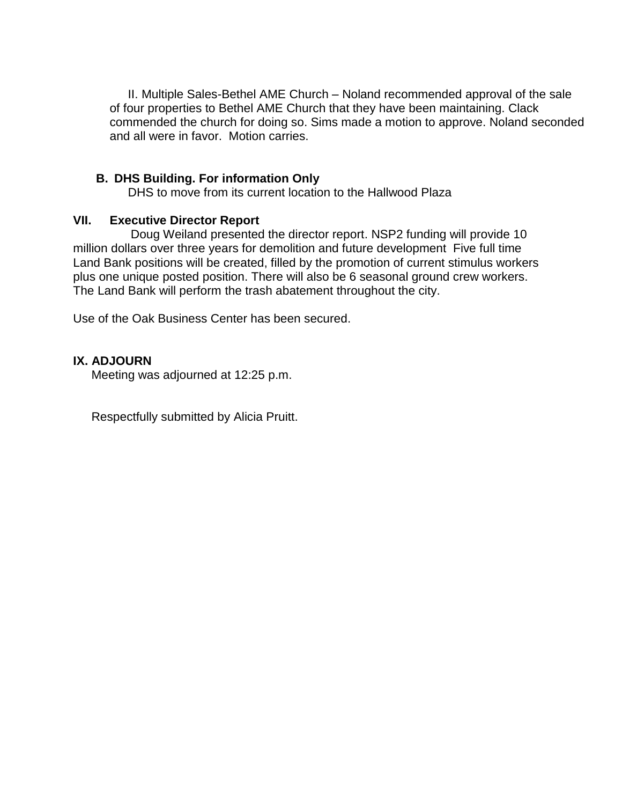II. Multiple Sales-Bethel AME Church – Noland recommended approval of the sale of four properties to Bethel AME Church that they have been maintaining. Clack commended the church for doing so. Sims made a motion to approve. Noland seconded and all were in favor. Motion carries.

# **B. DHS Building. For information Only**

DHS to move from its current location to the Hallwood Plaza

# **VII. Executive Director Report**

 Doug Weiland presented the director report. NSP2 funding will provide 10 million dollars over three years for demolition and future development Five full time Land Bank positions will be created, filled by the promotion of current stimulus workers plus one unique posted position. There will also be 6 seasonal ground crew workers. The Land Bank will perform the trash abatement throughout the city.

Use of the Oak Business Center has been secured.

# **IX. ADJOURN**

Meeting was adjourned at 12:25 p.m.

Respectfully submitted by Alicia Pruitt.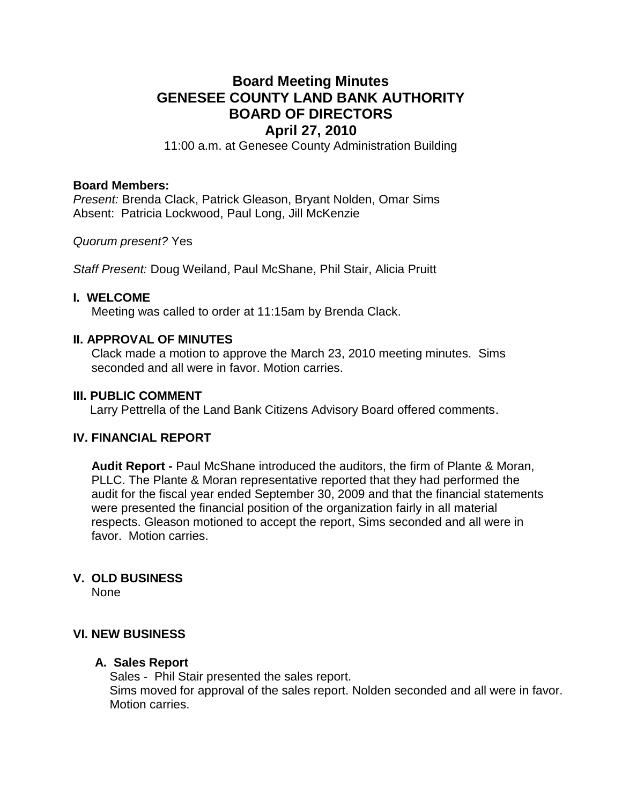# **Board Meeting Minutes GENESEE COUNTY LAND BANK AUTHORITY BOARD OF DIRECTORS April 27, 2010**

11:00 a.m. at Genesee County Administration Building

## **Board Members:**

*Present:* Brenda Clack, Patrick Gleason, Bryant Nolden, Omar Sims Absent: Patricia Lockwood, Paul Long, Jill McKenzie

*Quorum present?* Yes

*Staff Present:* Doug Weiland, Paul McShane, Phil Stair, Alicia Pruitt

# **I. WELCOME**

Meeting was called to order at 11:15am by Brenda Clack.

# **II. APPROVAL OF MINUTES**

Clack made a motion to approve the March 23, 2010 meeting minutes. Sims seconded and all were in favor. Motion carries.

# **III. PUBLIC COMMENT**

Larry Pettrella of the Land Bank Citizens Advisory Board offered comments.

# **IV. FINANCIAL REPORT**

**Audit Report -** Paul McShane introduced the auditors, the firm of Plante & Moran, PLLC. The Plante & Moran representative reported that they had performed the audit for the fiscal year ended September 30, 2009 and that the financial statements were presented the financial position of the organization fairly in all material respects. Gleason motioned to accept the report, Sims seconded and all were in favor. Motion carries.

# **V. OLD BUSINESS**

None

# **VI. NEW BUSINESS**

#### **A. Sales Report**

Sales - Phil Stair presented the sales report. Sims moved for approval of the sales report. Nolden seconded and all were in favor. Motion carries.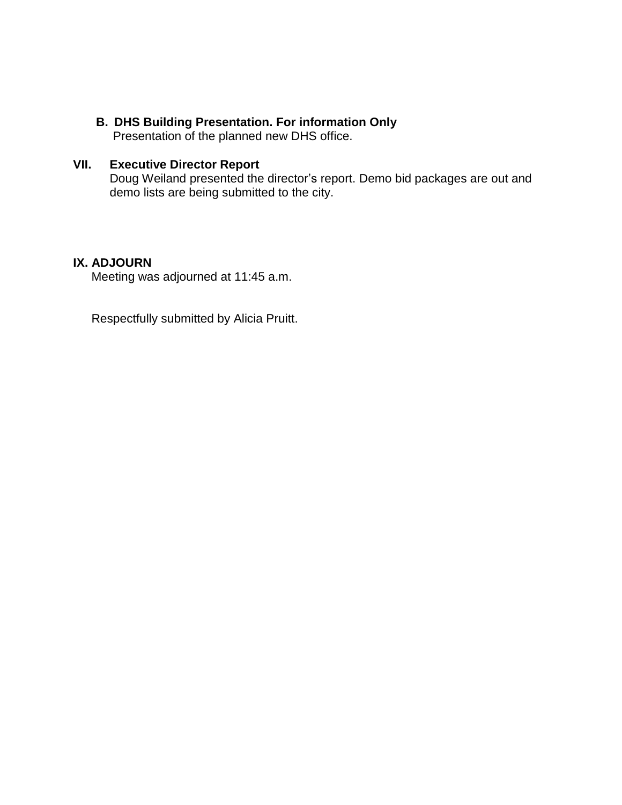**B. DHS Building Presentation. For information Only**

Presentation of the planned new DHS office.

# **VII. Executive Director Report**

Doug Weiland presented the director's report. Demo bid packages are out and demo lists are being submitted to the city.

# **IX. ADJOURN**

Meeting was adjourned at 11:45 a.m.

Respectfully submitted by Alicia Pruitt.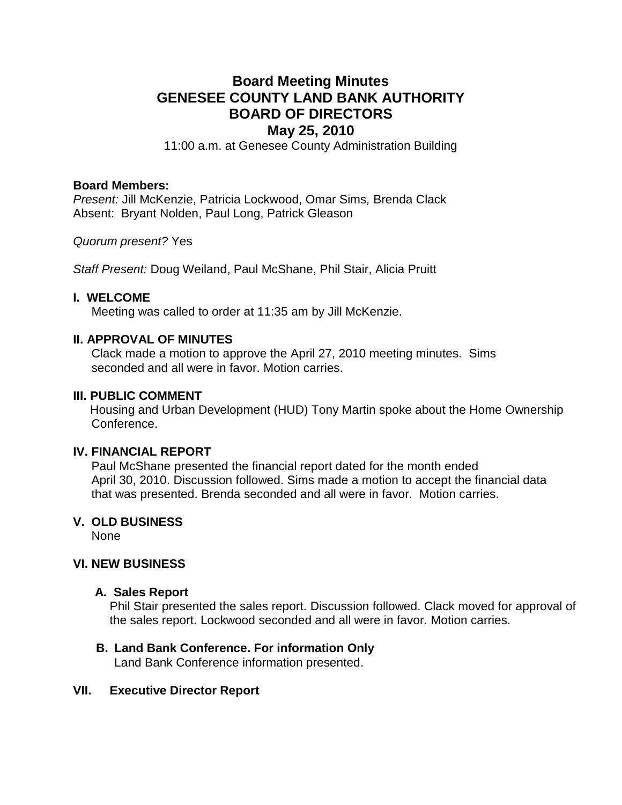# **Board Meeting Minutes GENESEE COUNTY LAND BANK AUTHORITY BOARD OF DIRECTORS May 25, 2010**

11:00 a.m. at Genesee County Administration Building

## **Board Members:**

*Present:* Jill McKenzie, Patricia Lockwood, Omar Sims*,* Brenda Clack Absent: Bryant Nolden, Paul Long, Patrick Gleason

*Quorum present?* Yes

*Staff Present:* Doug Weiland, Paul McShane, Phil Stair, Alicia Pruitt

# **I. WELCOME**

Meeting was called to order at 11:35 am by Jill McKenzie.

# **II. APPROVAL OF MINUTES**

Clack made a motion to approve the April 27, 2010 meeting minutes. Sims seconded and all were in favor. Motion carries.

## **III. PUBLIC COMMENT**

 Housing and Urban Development (HUD) Tony Martin spoke about the Home Ownership Conference.

# **IV. FINANCIAL REPORT**

Paul McShane presented the financial report dated for the month ended April 30, 2010. Discussion followed. Sims made a motion to accept the financial data that was presented. Brenda seconded and all were in favor. Motion carries.

# **V. OLD BUSINESS**

None

# **VI. NEW BUSINESS**

#### **A. Sales Report**

Phil Stair presented the sales report. Discussion followed. Clack moved for approval of the sales report. Lockwood seconded and all were in favor. Motion carries.

# **B. Land Bank Conference. For information Only**

Land Bank Conference information presented.

# **VII. Executive Director Report**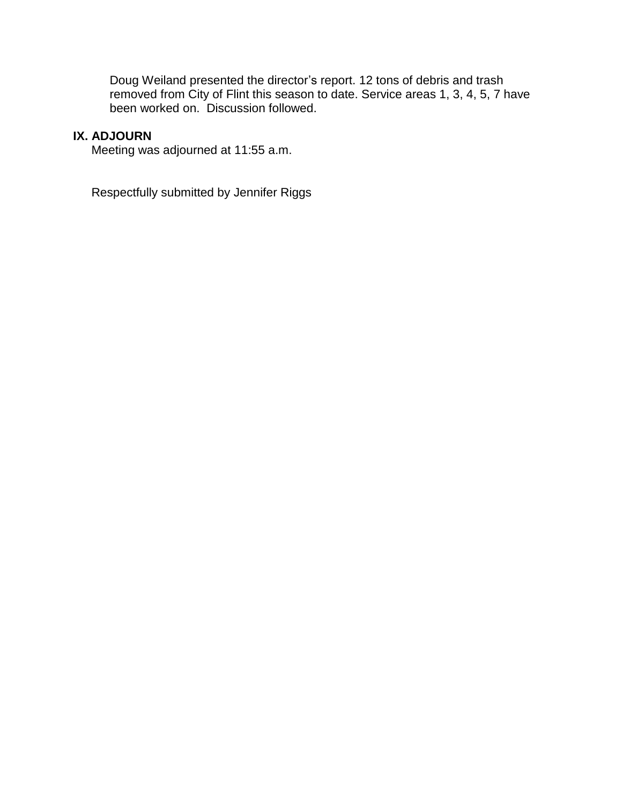Doug Weiland presented the director's report. 12 tons of debris and trash removed from City of Flint this season to date. Service areas 1, 3, 4, 5, 7 have been worked on. Discussion followed.

# **IX. ADJOURN**

Meeting was adjourned at 11:55 a.m.

Respectfully submitted by Jennifer Riggs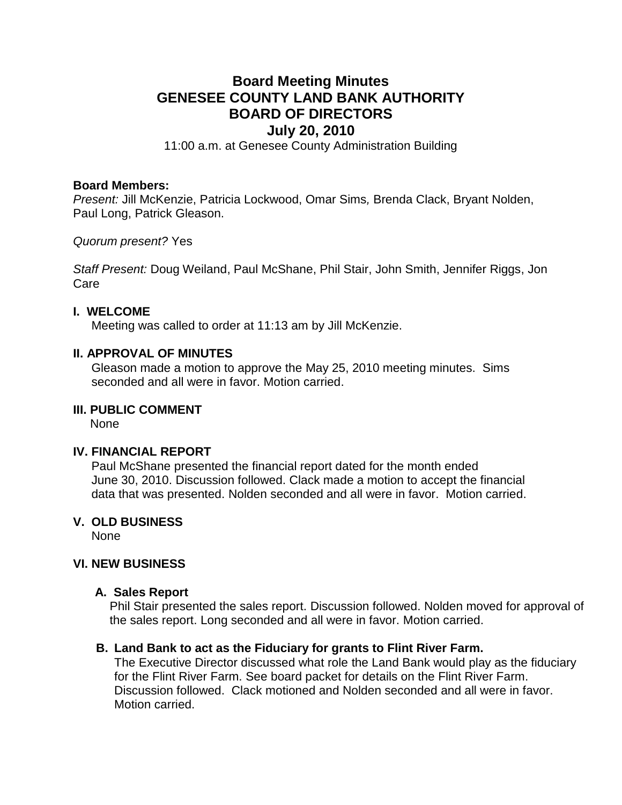# **Board Meeting Minutes GENESEE COUNTY LAND BANK AUTHORITY BOARD OF DIRECTORS July 20, 2010**

11:00 a.m. at Genesee County Administration Building

#### **Board Members:**

*Present:* Jill McKenzie, Patricia Lockwood, Omar Sims*,* Brenda Clack, Bryant Nolden, Paul Long, Patrick Gleason.

*Quorum present?* Yes

*Staff Present:* Doug Weiland, Paul McShane, Phil Stair, John Smith, Jennifer Riggs, Jon Care

#### **I. WELCOME**

Meeting was called to order at 11:13 am by Jill McKenzie.

# **II. APPROVAL OF MINUTES**

Gleason made a motion to approve the May 25, 2010 meeting minutes. Sims seconded and all were in favor. Motion carried.

# **III. PUBLIC COMMENT**

None

#### **IV. FINANCIAL REPORT**

Paul McShane presented the financial report dated for the month ended June 30, 2010. Discussion followed. Clack made a motion to accept the financial data that was presented. Nolden seconded and all were in favor. Motion carried.

# **V. OLD BUSINESS**

None

#### **VI. NEW BUSINESS**

#### **A. Sales Report**

Phil Stair presented the sales report. Discussion followed. Nolden moved for approval of the sales report. Long seconded and all were in favor. Motion carried.

#### **B. Land Bank to act as the Fiduciary for grants to Flint River Farm.**

The Executive Director discussed what role the Land Bank would play as the fiduciary for the Flint River Farm. See board packet for details on the Flint River Farm. Discussion followed. Clack motioned and Nolden seconded and all were in favor. Motion carried.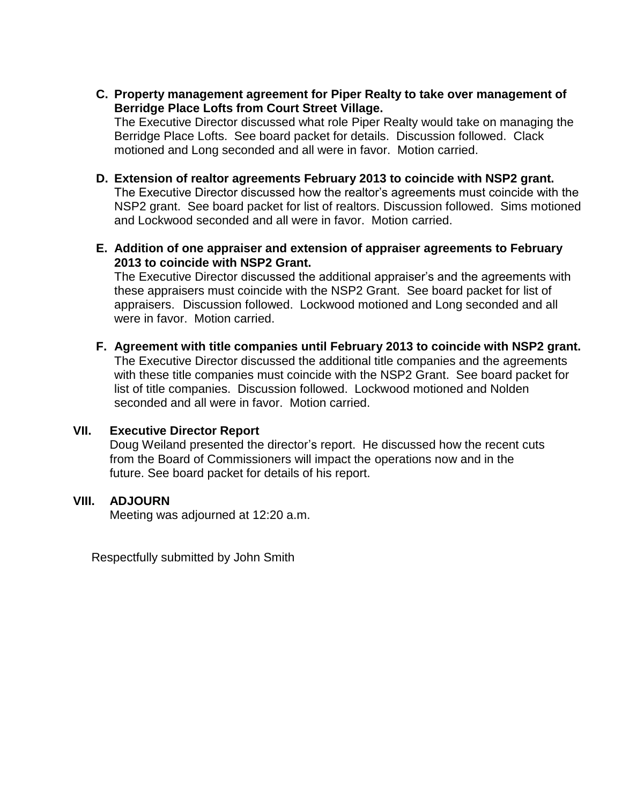**C. Property management agreement for Piper Realty to take over management of Berridge Place Lofts from Court Street Village.**

The Executive Director discussed what role Piper Realty would take on managing the Berridge Place Lofts. See board packet for details. Discussion followed. Clack motioned and Long seconded and all were in favor. Motion carried.

- **D. Extension of realtor agreements February 2013 to coincide with NSP2 grant.** The Executive Director discussed how the realtor's agreements must coincide with the NSP2 grant. See board packet for list of realtors. Discussion followed. Sims motioned and Lockwood seconded and all were in favor. Motion carried.
- **E. Addition of one appraiser and extension of appraiser agreements to February 2013 to coincide with NSP2 Grant.**

The Executive Director discussed the additional appraiser's and the agreements with these appraisers must coincide with the NSP2 Grant. See board packet for list of appraisers. Discussion followed. Lockwood motioned and Long seconded and all were in favor. Motion carried.

**F. Agreement with title companies until February 2013 to coincide with NSP2 grant.** The Executive Director discussed the additional title companies and the agreements with these title companies must coincide with the NSP2 Grant. See board packet for list of title companies. Discussion followed. Lockwood motioned and Nolden seconded and all were in favor. Motion carried.

# **VII. Executive Director Report**

Doug Weiland presented the director's report. He discussed how the recent cuts from the Board of Commissioners will impact the operations now and in the future. See board packet for details of his report.

# **VIII. ADJOURN**

Meeting was adjourned at 12:20 a.m.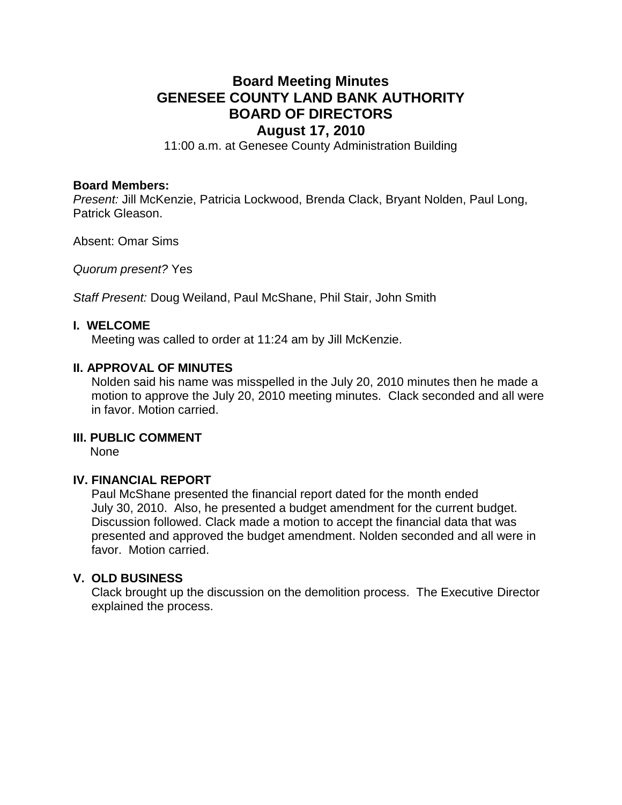# **Board Meeting Minutes GENESEE COUNTY LAND BANK AUTHORITY BOARD OF DIRECTORS August 17, 2010**

11:00 a.m. at Genesee County Administration Building

#### **Board Members:**

*Present:* Jill McKenzie, Patricia Lockwood, Brenda Clack, Bryant Nolden, Paul Long, Patrick Gleason.

Absent: Omar Sims

*Quorum present?* Yes

*Staff Present:* Doug Weiland, Paul McShane, Phil Stair, John Smith

#### **I. WELCOME**

Meeting was called to order at 11:24 am by Jill McKenzie.

#### **II. APPROVAL OF MINUTES**

Nolden said his name was misspelled in the July 20, 2010 minutes then he made a motion to approve the July 20, 2010 meeting minutes. Clack seconded and all were in favor. Motion carried.

#### **III. PUBLIC COMMENT**

None

#### **IV. FINANCIAL REPORT**

Paul McShane presented the financial report dated for the month ended July 30, 2010. Also, he presented a budget amendment for the current budget. Discussion followed. Clack made a motion to accept the financial data that was presented and approved the budget amendment. Nolden seconded and all were in favor. Motion carried.

## **V. OLD BUSINESS**

Clack brought up the discussion on the demolition process. The Executive Director explained the process.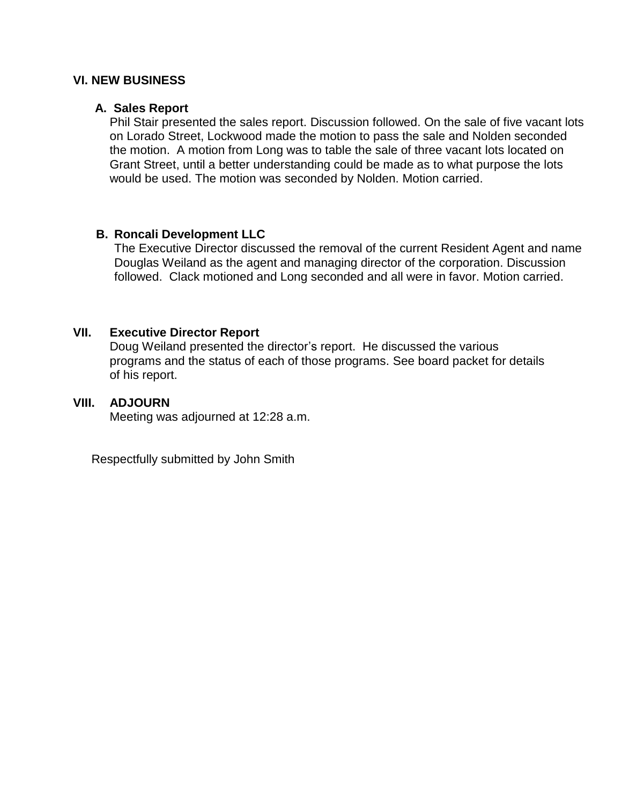# **VI. NEW BUSINESS**

#### **A. Sales Report**

Phil Stair presented the sales report. Discussion followed. On the sale of five vacant lots on Lorado Street, Lockwood made the motion to pass the sale and Nolden seconded the motion. A motion from Long was to table the sale of three vacant lots located on Grant Street, until a better understanding could be made as to what purpose the lots would be used. The motion was seconded by Nolden. Motion carried.

#### **B. Roncali Development LLC**

The Executive Director discussed the removal of the current Resident Agent and name Douglas Weiland as the agent and managing director of the corporation. Discussion followed. Clack motioned and Long seconded and all were in favor. Motion carried.

#### **VII. Executive Director Report**

Doug Weiland presented the director's report. He discussed the various programs and the status of each of those programs. See board packet for details of his report.

# **VIII. ADJOURN**

Meeting was adjourned at 12:28 a.m.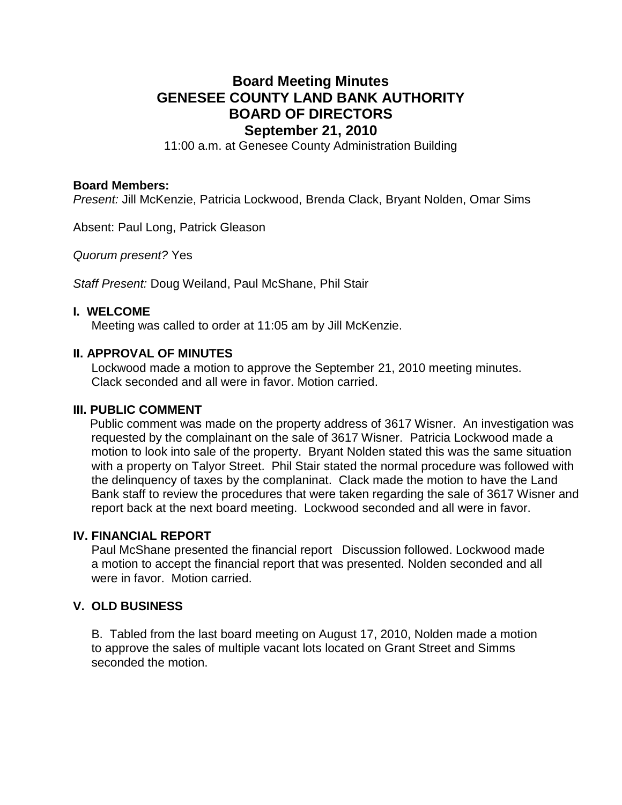# **Board Meeting Minutes GENESEE COUNTY LAND BANK AUTHORITY BOARD OF DIRECTORS September 21, 2010**

11:00 a.m. at Genesee County Administration Building

#### **Board Members:**

*Present:* Jill McKenzie, Patricia Lockwood, Brenda Clack, Bryant Nolden, Omar Sims

Absent: Paul Long, Patrick Gleason

*Quorum present?* Yes

*Staff Present:* Doug Weiland, Paul McShane, Phil Stair

#### **I. WELCOME**

Meeting was called to order at 11:05 am by Jill McKenzie.

# **II. APPROVAL OF MINUTES**

Lockwood made a motion to approve the September 21, 2010 meeting minutes. Clack seconded and all were in favor. Motion carried.

#### **III. PUBLIC COMMENT**

 Public comment was made on the property address of 3617 Wisner. An investigation was requested by the complainant on the sale of 3617 Wisner. Patricia Lockwood made a motion to look into sale of the property. Bryant Nolden stated this was the same situation with a property on Talyor Street. Phil Stair stated the normal procedure was followed with the delinquency of taxes by the complaninat. Clack made the motion to have the Land Bank staff to review the procedures that were taken regarding the sale of 3617 Wisner and report back at the next board meeting. Lockwood seconded and all were in favor.

#### **IV. FINANCIAL REPORT**

Paul McShane presented the financial report Discussion followed. Lockwood made a motion to accept the financial report that was presented. Nolden seconded and all were in favor. Motion carried.

# **V. OLD BUSINESS**

B. Tabled from the last board meeting on August 17, 2010, Nolden made a motion to approve the sales of multiple vacant lots located on Grant Street and Simms seconded the motion.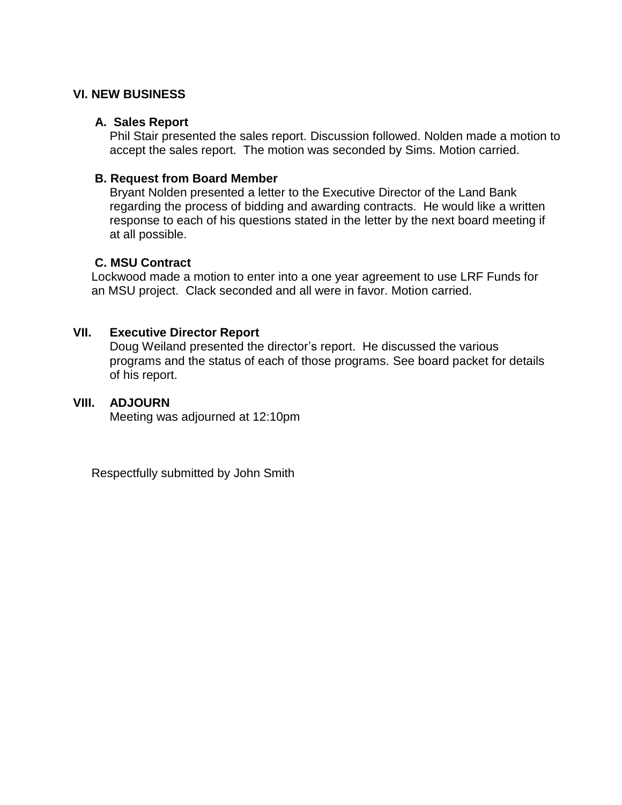# **VI. NEW BUSINESS**

# **A. Sales Report**

Phil Stair presented the sales report. Discussion followed. Nolden made a motion to accept the sales report. The motion was seconded by Sims. Motion carried.

# **B. Request from Board Member**

Bryant Nolden presented a letter to the Executive Director of the Land Bank regarding the process of bidding and awarding contracts. He would like a written response to each of his questions stated in the letter by the next board meeting if at all possible.

# **C. MSU Contract**

Lockwood made a motion to enter into a one year agreement to use LRF Funds for an MSU project. Clack seconded and all were in favor. Motion carried.

# **VII. Executive Director Report**

Doug Weiland presented the director's report. He discussed the various programs and the status of each of those programs. See board packet for details of his report.

# **VIII. ADJOURN**

Meeting was adjourned at 12:10pm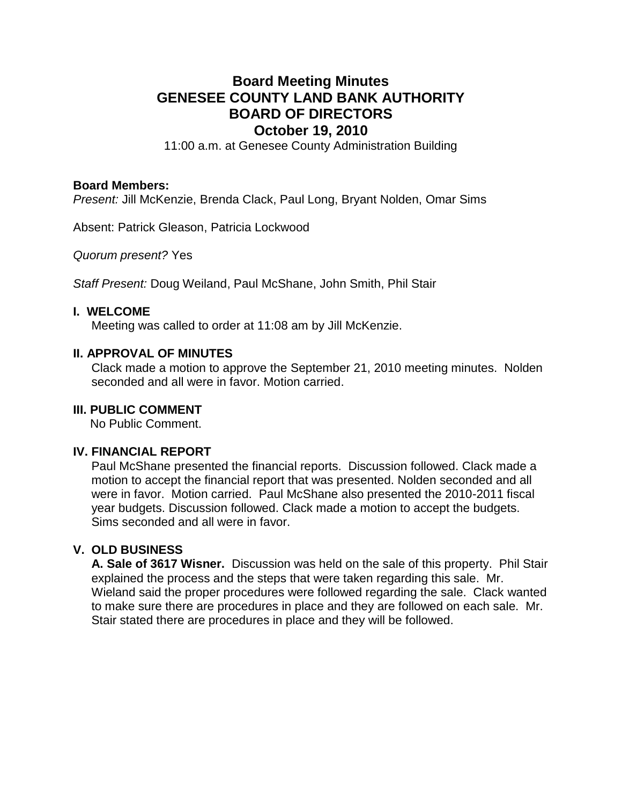# **Board Meeting Minutes GENESEE COUNTY LAND BANK AUTHORITY BOARD OF DIRECTORS October 19, 2010**

11:00 a.m. at Genesee County Administration Building

#### **Board Members:**

*Present:* Jill McKenzie, Brenda Clack, Paul Long, Bryant Nolden, Omar Sims

Absent: Patrick Gleason, Patricia Lockwood

*Quorum present?* Yes

*Staff Present:* Doug Weiland, Paul McShane, John Smith, Phil Stair

# **I. WELCOME**

Meeting was called to order at 11:08 am by Jill McKenzie.

# **II. APPROVAL OF MINUTES**

Clack made a motion to approve the September 21, 2010 meeting minutes. Nolden seconded and all were in favor. Motion carried.

# **III. PUBLIC COMMENT**

No Public Comment.

#### **IV. FINANCIAL REPORT**

Paul McShane presented the financial reports. Discussion followed. Clack made a motion to accept the financial report that was presented. Nolden seconded and all were in favor. Motion carried. Paul McShane also presented the 2010-2011 fiscal year budgets. Discussion followed. Clack made a motion to accept the budgets. Sims seconded and all were in favor.

# **V. OLD BUSINESS**

**A. Sale of 3617 Wisner.** Discussion was held on the sale of this property. Phil Stair explained the process and the steps that were taken regarding this sale. Mr. Wieland said the proper procedures were followed regarding the sale. Clack wanted to make sure there are procedures in place and they are followed on each sale. Mr. Stair stated there are procedures in place and they will be followed.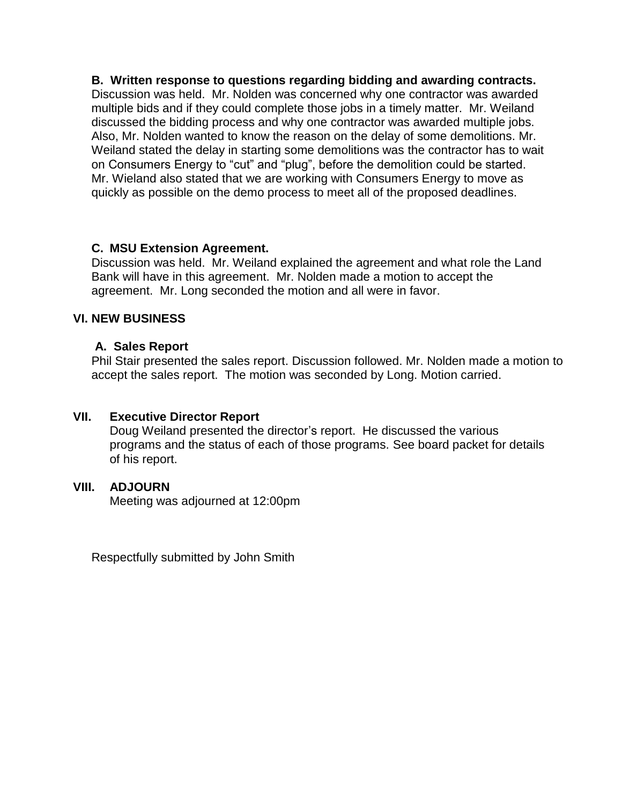**B. Written response to questions regarding bidding and awarding contracts.** Discussion was held. Mr. Nolden was concerned why one contractor was awarded multiple bids and if they could complete those jobs in a timely matter. Mr. Weiland discussed the bidding process and why one contractor was awarded multiple jobs. Also, Mr. Nolden wanted to know the reason on the delay of some demolitions. Mr. Weiland stated the delay in starting some demolitions was the contractor has to wait on Consumers Energy to "cut" and "plug", before the demolition could be started. Mr. Wieland also stated that we are working with Consumers Energy to move as quickly as possible on the demo process to meet all of the proposed deadlines.

# **C. MSU Extension Agreement.**

Discussion was held. Mr. Weiland explained the agreement and what role the Land Bank will have in this agreement. Mr. Nolden made a motion to accept the agreement. Mr. Long seconded the motion and all were in favor.

# **VI. NEW BUSINESS**

# **A. Sales Report**

Phil Stair presented the sales report. Discussion followed. Mr. Nolden made a motion to accept the sales report. The motion was seconded by Long. Motion carried.

# **VII. Executive Director Report**

Doug Weiland presented the director's report. He discussed the various programs and the status of each of those programs. See board packet for details of his report.

# **VIII. ADJOURN**

Meeting was adjourned at 12:00pm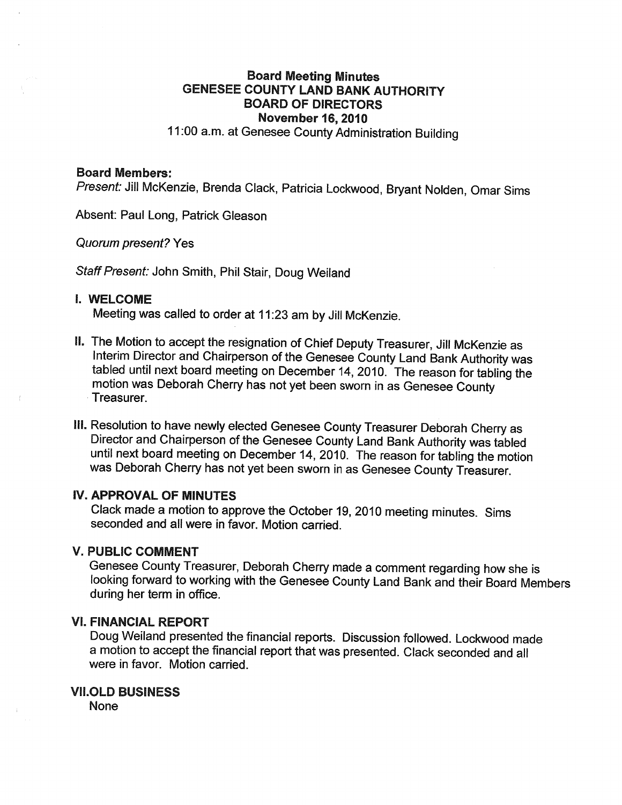# **Board Meeting Minutes GENESEE COUNTY LAND BANK AUTHORITY BOARD OF DIRECTORS November 16, 2010** 11:00 a.m. at Genesee County Administration Building

#### **Board Members:**

Present: Jill McKenzie, Brenda Clack, Patricia Lockwood, Bryant Nolden, Omar Sims

Absent: Paul Long, Patrick Gleason

**Quorum present? Yes** 

Staff Present: John Smith, Phil Stair, Doug Weiland

#### **I. WELCOME**

Meeting was called to order at 11:23 am by Jill McKenzie.

- II. The Motion to accept the resignation of Chief Deputy Treasurer, Jill McKenzie as Interim Director and Chairperson of the Genesee County Land Bank Authority was tabled until next board meeting on December 14, 2010. The reason for tabling the motion was Deborah Cherry has not yet been sworn in as Genesee County Treasurer.
- III. Resolution to have newly elected Genesee County Treasurer Deborah Cherry as Director and Chairperson of the Genesee County Land Bank Authority was tabled until next board meeting on December 14, 2010. The reason for tabling the motion was Deborah Cherry has not yet been sworn in as Genesee County Treasurer.

#### **IV. APPROVAL OF MINUTES**

Clack made a motion to approve the October 19, 2010 meeting minutes. Sims seconded and all were in favor. Motion carried.

#### **V. PUBLIC COMMENT**

Genesee County Treasurer, Deborah Cherry made a comment regarding how she is looking forward to working with the Genesee County Land Bank and their Board Members during her term in office.

#### **VI. FINANCIAL REPORT**

Doug Weiland presented the financial reports. Discussion followed. Lockwood made a motion to accept the financial report that was presented. Clack seconded and all were in favor. Motion carried.

#### **VII.OLD BUSINESS**

**None**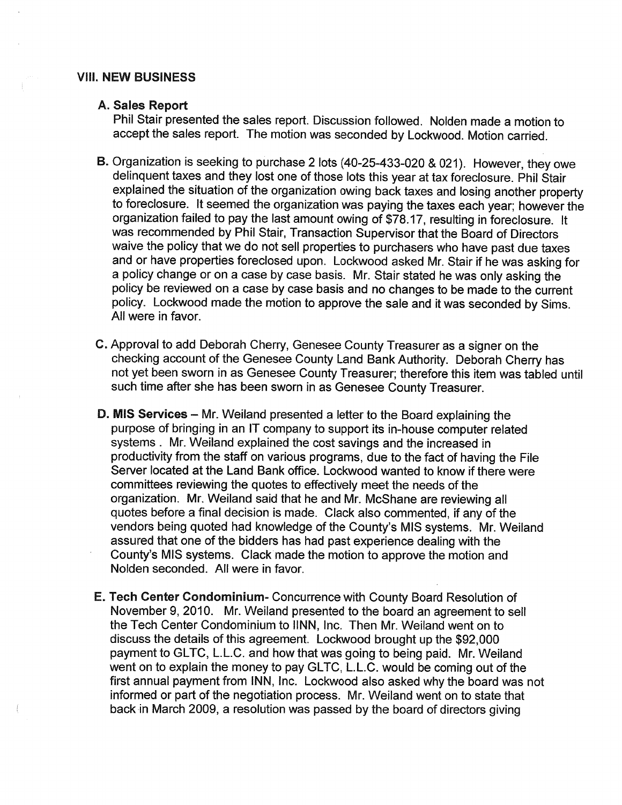#### **VIII. NEW BUSINESS**

#### A. Sales Report

Phil Stair presented the sales report. Discussion followed. Nolden made a motion to accept the sales report. The motion was seconded by Lockwood. Motion carried.

- B. Organization is seeking to purchase 2 lots (40-25-433-020 & 021). However, they owe delinquent taxes and they lost one of those lots this year at tax foreclosure. Phil Stair explained the situation of the organization owing back taxes and losing another property to foreclosure. It seemed the organization was paying the taxes each year; however the organization failed to pay the last amount owing of \$78.17, resulting in foreclosure. It was recommended by Phil Stair, Transaction Supervisor that the Board of Directors waive the policy that we do not sell properties to purchasers who have past due taxes and or have properties foreclosed upon. Lockwood asked Mr. Stair if he was asking for a policy change or on a case by case basis. Mr. Stair stated he was only asking the policy be reviewed on a case by case basis and no changes to be made to the current policy. Lockwood made the motion to approve the sale and it was seconded by Sims. All were in favor.
- C. Approval to add Deborah Cherry, Genesee County Treasurer as a signer on the checking account of the Genesee County Land Bank Authority. Deborah Cherry has not yet been sworn in as Genesee County Treasurer; therefore this item was tabled until such time after she has been sworn in as Genesee County Treasurer.
- D. MIS Services Mr. Weiland presented a letter to the Board explaining the purpose of bringing in an IT company to support its in-house computer related systems . Mr. Weiland explained the cost savings and the increased in productivity from the staff on various programs, due to the fact of having the File Server located at the Land Bank office. Lockwood wanted to know if there were committees reviewing the quotes to effectively meet the needs of the organization. Mr. Weiland said that he and Mr. McShane are reviewing all quotes before a final decision is made. Clack also commented, if any of the vendors being quoted had knowledge of the County's MIS systems. Mr. Weiland assured that one of the bidders has had past experience dealing with the County's MIS systems. Clack made the motion to approve the motion and Nolden seconded. All were in favor.
- E. Tech Center Condominium- Concurrence with County Board Resolution of November 9, 2010. Mr. Weiland presented to the board an agreement to sell the Tech Center Condominium to IINN, Inc. Then Mr. Weiland went on to discuss the details of this agreement. Lockwood brought up the \$92,000 payment to GLTC, L.L.C. and how that was going to being paid. Mr. Weiland went on to explain the money to pay GLTC, L.L.C. would be coming out of the first annual payment from INN, Inc. Lockwood also asked why the board was not informed or part of the negotiation process. Mr. Weiland went on to state that back in March 2009, a resolution was passed by the board of directors giving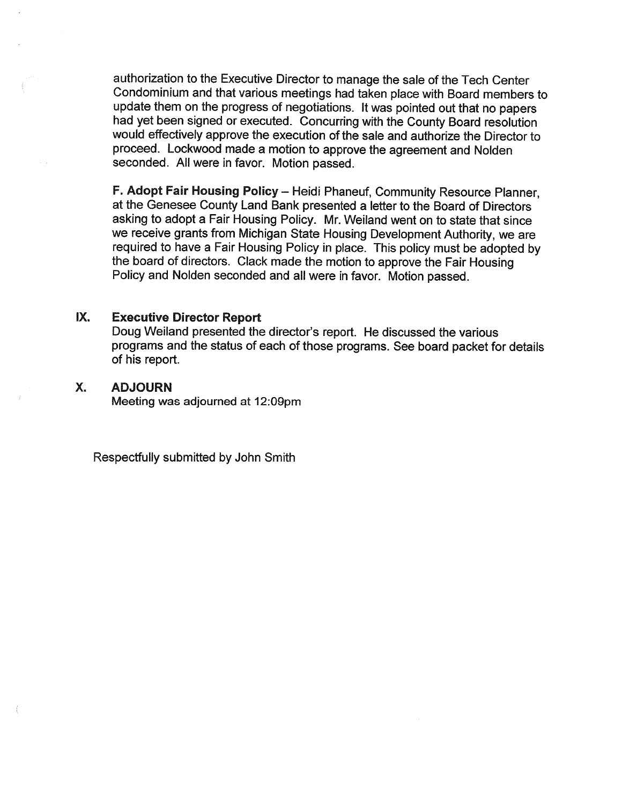authorization to the Executive Director to manage the sale of the Tech Center Condominium and that various meetings had taken place with Board members to update them on the progress of negotiations. It was pointed out that no papers had yet been signed or executed. Concurring with the County Board resolution would effectively approve the execution of the sale and authorize the Director to proceed. Lockwood made a motion to approve the agreement and Nolden seconded. All were in favor. Motion passed.

F. Adopt Fair Housing Policy - Heidi Phaneuf, Community Resource Planner, at the Genesee County Land Bank presented a letter to the Board of Directors asking to adopt a Fair Housing Policy. Mr. Weiland went on to state that since we receive grants from Michigan State Housing Development Authority, we are required to have a Fair Housing Policy in place. This policy must be adopted by the board of directors. Clack made the motion to approve the Fair Housing Policy and Nolden seconded and all were in favor. Motion passed.

#### IX. **Executive Director Report**

Doug Weiland presented the director's report. He discussed the various programs and the status of each of those programs. See board packet for details of his report.

#### Χ. **ADJOURN**

Meeting was adjourned at 12:09pm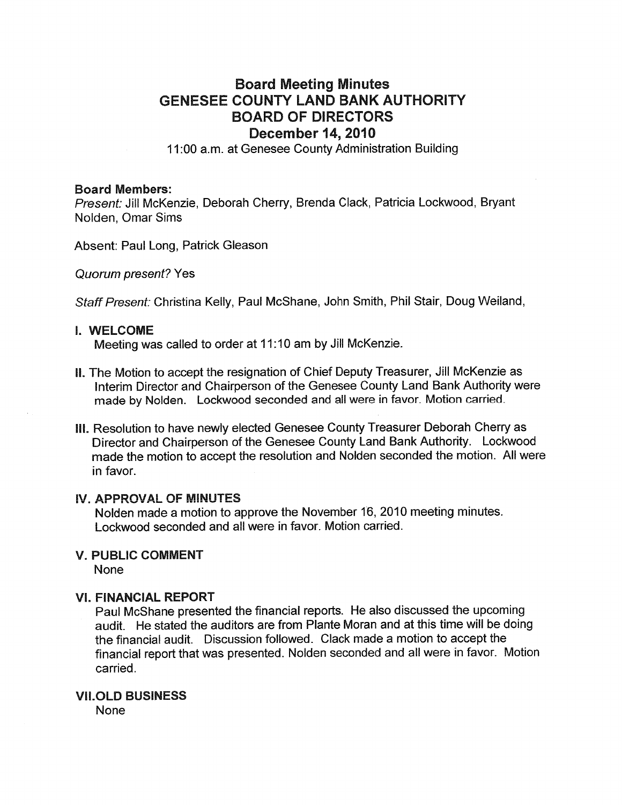# **Board Meeting Minutes GENESEE COUNTY LAND BANK AUTHORITY BOARD OF DIRECTORS December 14, 2010**

11:00 a.m. at Genesee County Administration Building

#### **Board Members:**

Present: Jill McKenzie, Deborah Cherry, Brenda Clack, Patricia Lockwood, Bryant Nolden, Omar Sims

Absent: Paul Long, Patrick Gleason

**Quorum present? Yes** 

Staff Present: Christina Kelly, Paul McShane, John Smith, Phil Stair, Doug Weiland,

#### I. WELCOME

Meeting was called to order at 11:10 am by Jill McKenzie.

- II. The Motion to accept the resignation of Chief Deputy Treasurer, Jill McKenzie as Interim Director and Chairperson of the Genesee County Land Bank Authority were made by Nolden. Lockwood seconded and all were in favor. Motion carried.
- III. Resolution to have newly elected Genesee County Treasurer Deborah Cherry as Director and Chairperson of the Genesee County Land Bank Authority. Lockwood made the motion to accept the resolution and Nolden seconded the motion. All were in favor.

# **IV. APPROVAL OF MINUTES**

Nolden made a motion to approve the November 16, 2010 meeting minutes. Lockwood seconded and all were in favor. Motion carried.

## **V. PUBLIC COMMENT**

**None** 

#### **VI. FINANCIAL REPORT**

Paul McShane presented the financial reports. He also discussed the upcoming audit. He stated the auditors are from Plante Moran and at this time will be doing the financial audit. Discussion followed. Clack made a motion to accept the financial report that was presented. Nolden seconded and all were in favor. Motion carried.

#### **VII.OLD BUSINESS**

**None**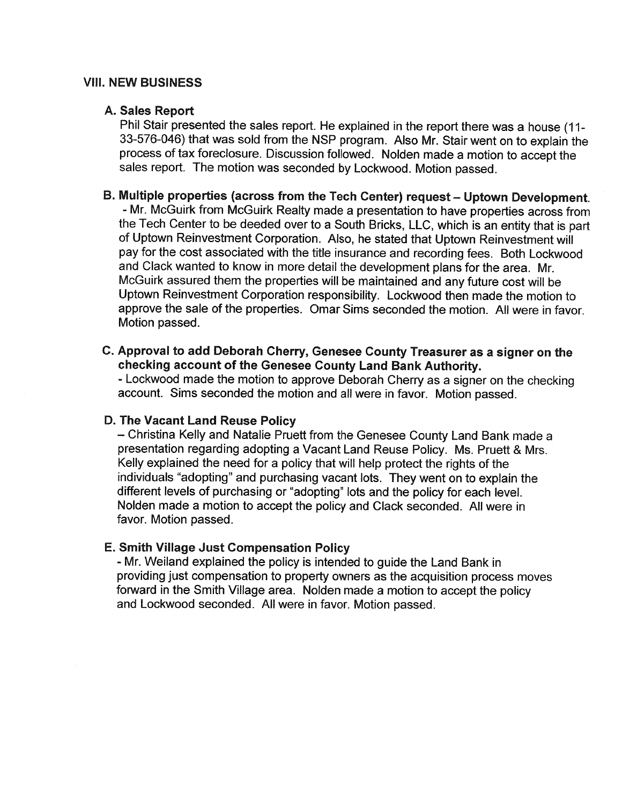# **VIII. NEW BUSINESS**

#### A. Sales Report

Phil Stair presented the sales report. He explained in the report there was a house (11-33-576-046) that was sold from the NSP program. Also Mr. Stair went on to explain the process of tax foreclosure. Discussion followed. Nolden made a motion to accept the sales report. The motion was seconded by Lockwood. Motion passed.

# B. Multiple properties (across from the Tech Center) request - Uptown Development.

- Mr. McGuirk from McGuirk Realty made a presentation to have properties across from the Tech Center to be deeded over to a South Bricks, LLC, which is an entity that is part of Uptown Reinvestment Corporation. Also, he stated that Uptown Reinvestment will pay for the cost associated with the title insurance and recording fees. Both Lockwood and Clack wanted to know in more detail the development plans for the area. Mr. McGuirk assured them the properties will be maintained and any future cost will be Uptown Reinvestment Corporation responsibility. Lockwood then made the motion to approve the sale of the properties. Omar Sims seconded the motion. All were in favor. Motion passed.

C. Approval to add Deborah Cherry, Genesee County Treasurer as a signer on the checking account of the Genesee County Land Bank Authority. - Lockwood made the motion to approve Deborah Cherry as a signer on the checking

account. Sims seconded the motion and all were in favor. Motion passed.

#### D. The Vacant Land Reuse Policy

- Christina Kelly and Natalie Pruett from the Genesee County Land Bank made a presentation regarding adopting a Vacant Land Reuse Policy. Ms. Pruett & Mrs. Kelly explained the need for a policy that will help protect the rights of the individuals "adopting" and purchasing vacant lots. They went on to explain the different levels of purchasing or "adopting" lots and the policy for each level. Nolden made a motion to accept the policy and Clack seconded. All were in favor. Motion passed.

# E. Smith Village Just Compensation Policy

- Mr. Weiland explained the policy is intended to guide the Land Bank in providing just compensation to property owners as the acquisition process moves forward in the Smith Village area. Nolden made a motion to accept the policy and Lockwood seconded. All were in favor. Motion passed.